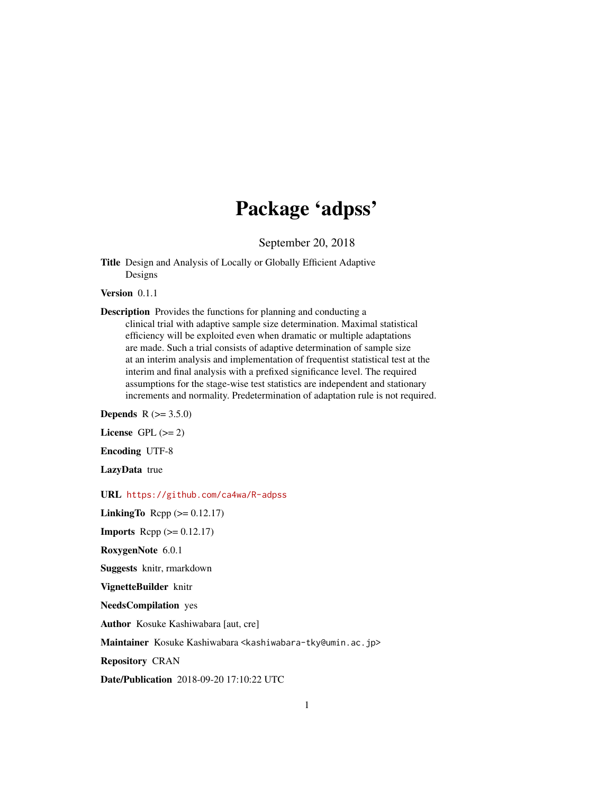## Package 'adpss'

September 20, 2018

Title Design and Analysis of Locally or Globally Efficient Adaptive Designs

Version 0.1.1

Description Provides the functions for planning and conducting a clinical trial with adaptive sample size determination. Maximal statistical efficiency will be exploited even when dramatic or multiple adaptations are made. Such a trial consists of adaptive determination of sample size at an interim analysis and implementation of frequentist statistical test at the interim and final analysis with a prefixed significance level. The required assumptions for the stage-wise test statistics are independent and stationary increments and normality. Predetermination of adaptation rule is not required.

**Depends** R  $(>= 3.5.0)$ 

License GPL  $(>= 2)$ 

Encoding UTF-8

LazyData true

URL <https://github.com/ca4wa/R-adpss>

LinkingTo Rcpp  $(>= 0.12.17)$ 

**Imports** Rcpp  $(>= 0.12.17)$ 

RoxygenNote 6.0.1

Suggests knitr, rmarkdown

VignetteBuilder knitr

NeedsCompilation yes

Author Kosuke Kashiwabara [aut, cre]

Maintainer Kosuke Kashiwabara <kashiwabara-tky@umin.ac.jp>

Repository CRAN

Date/Publication 2018-09-20 17:10:22 UTC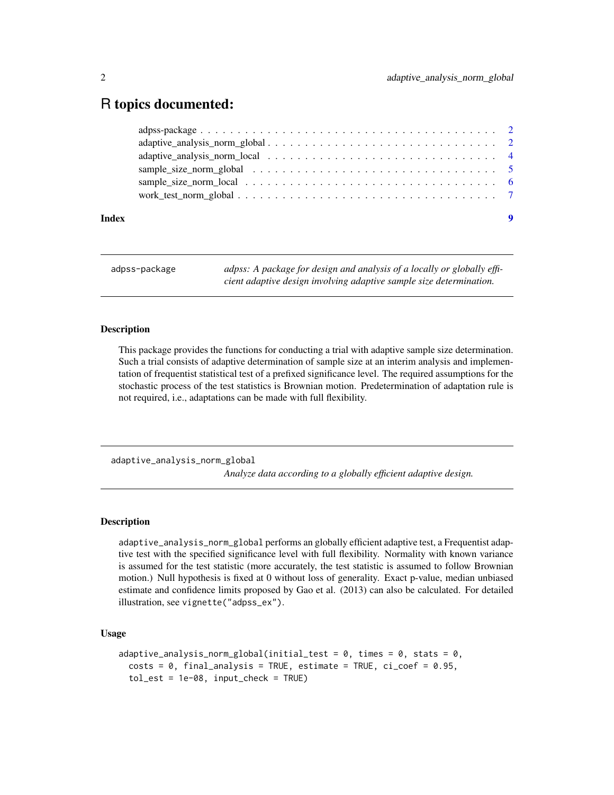### <span id="page-1-0"></span>R topics documented:

| Index |  |
|-------|--|
|       |  |
|       |  |
|       |  |
|       |  |
|       |  |
|       |  |

adpss-package *adpss: A package for design and analysis of a locally or globally efficient adaptive design involving adaptive sample size determination.*

#### Description

This package provides the functions for conducting a trial with adaptive sample size determination. Such a trial consists of adaptive determination of sample size at an interim analysis and implementation of frequentist statistical test of a prefixed significance level. The required assumptions for the stochastic process of the test statistics is Brownian motion. Predetermination of adaptation rule is not required, i.e., adaptations can be made with full flexibility.

<span id="page-1-1"></span>adaptive\_analysis\_norm\_global

*Analyze data according to a globally efficient adaptive design.*

#### **Description**

adaptive\_analysis\_norm\_global performs an globally efficient adaptive test, a Frequentist adaptive test with the specified significance level with full flexibility. Normality with known variance is assumed for the test statistic (more accurately, the test statistic is assumed to follow Brownian motion.) Null hypothesis is fixed at 0 without loss of generality. Exact p-value, median unbiased estimate and confidence limits proposed by Gao et al. (2013) can also be calculated. For detailed illustration, see vignette("adpss\_ex").

#### Usage

```
adaptive_analysis_norm_global(initial_test = 0, times = 0, stats = 0,
  costs = 0, final_analysis = TRUE, estimate = TRUE, ci\_coef = 0.95,
  tol\_est = 1e-08, input\_check = TRUE)
```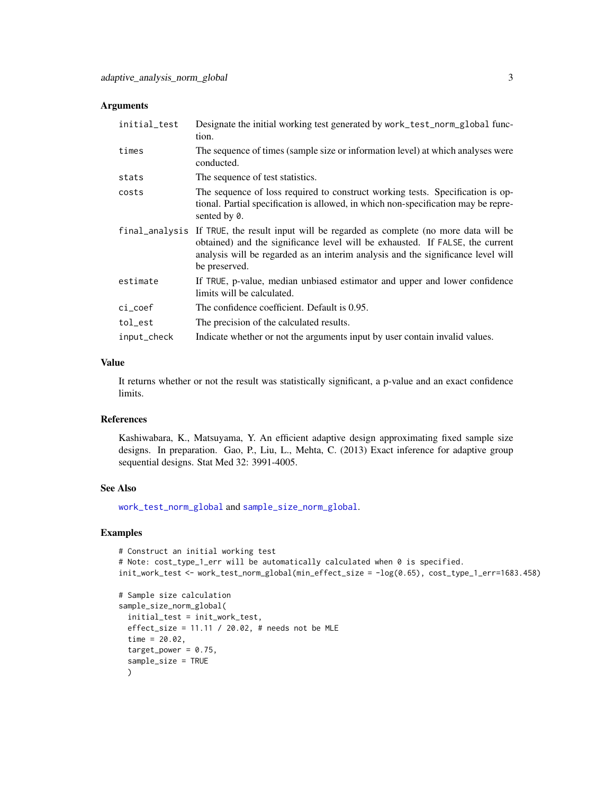#### <span id="page-2-0"></span>Arguments

| initial_test | Designate the initial working test generated by work_test_norm_global func-<br>tion.                                                                                                                                                                                              |
|--------------|-----------------------------------------------------------------------------------------------------------------------------------------------------------------------------------------------------------------------------------------------------------------------------------|
| times        | The sequence of times (sample size or information level) at which analyses were<br>conducted.                                                                                                                                                                                     |
| stats        | The sequence of test statistics.                                                                                                                                                                                                                                                  |
| costs        | The sequence of loss required to construct working tests. Specification is op-<br>tional. Partial specification is allowed, in which non-specification may be repre-<br>sented by 0.                                                                                              |
|              | final analysis If TRUE, the result input will be regarded as complete (no more data will be<br>obtained) and the significance level will be exhausted. If FALSE, the current<br>analysis will be regarded as an interim analysis and the significance level will<br>be preserved. |
| estimate     | If TRUE, p-value, median unbiased estimator and upper and lower confidence<br>limits will be calculated.                                                                                                                                                                          |
| $ci\_coef$   | The confidence coefficient. Default is 0.95.                                                                                                                                                                                                                                      |
| tol_est      | The precision of the calculated results.                                                                                                                                                                                                                                          |
| input_check  | Indicate whether or not the arguments input by user contain invalid values.                                                                                                                                                                                                       |

#### Value

It returns whether or not the result was statistically significant, a p-value and an exact confidence limits.

#### References

Kashiwabara, K., Matsuyama, Y. An efficient adaptive design approximating fixed sample size designs. In preparation. Gao, P., Liu, L., Mehta, C. (2013) Exact inference for adaptive group sequential designs. Stat Med 32: 3991-4005.

#### See Also

[work\\_test\\_norm\\_global](#page-6-1) and [sample\\_size\\_norm\\_global](#page-4-1).

#### Examples

```
# Construct an initial working test
# Note: cost_type_1_err will be automatically calculated when 0 is specified.
init_work_test <- work_test_norm_global(min_effect_size = -log(0.65), cost_type_1_err=1683.458)
```

```
# Sample size calculation
sample_size_norm_global(
 initial_test = init_work_test,
 effect_size = 11.11 / 20.02, # needs not be MLE
 time = 20.02,
 target\_power = 0.75,
 sample_size = TRUE
 )
```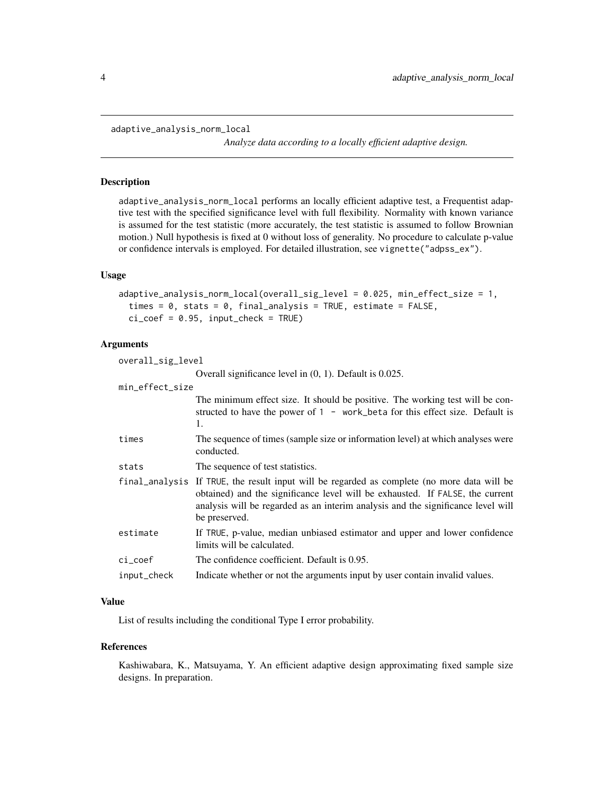<span id="page-3-1"></span><span id="page-3-0"></span>adaptive\_analysis\_norm\_local

*Analyze data according to a locally efficient adaptive design.*

#### Description

adaptive\_analysis\_norm\_local performs an locally efficient adaptive test, a Frequentist adaptive test with the specified significance level with full flexibility. Normality with known variance is assumed for the test statistic (more accurately, the test statistic is assumed to follow Brownian motion.) Null hypothesis is fixed at 0 without loss of generality. No procedure to calculate p-value or confidence intervals is employed. For detailed illustration, see vignette("adpss\_ex").

#### Usage

```
adaptive_analysis_norm_local(overall_sig_level = 0.025, min_effect_size = 1,
  times = 0, stats = 0, final_analysis = TRUE, estimate = FALSE,
  ci\_coef = 0.95, input\_check = TRUE)
```
#### Arguments

overall\_sig\_level

|                 | Overall significance level in $(0, 1)$ . Default is 0.025.                                                                                                                                                                                                                        |
|-----------------|-----------------------------------------------------------------------------------------------------------------------------------------------------------------------------------------------------------------------------------------------------------------------------------|
| min_effect_size |                                                                                                                                                                                                                                                                                   |
|                 | The minimum effect size. It should be positive. The working test will be con-<br>structed to have the power of 1 - work_beta for this effect size. Default is<br>1.                                                                                                               |
| times           | The sequence of times (sample size or information level) at which analyses were<br>conducted.                                                                                                                                                                                     |
| stats           | The sequence of test statistics.                                                                                                                                                                                                                                                  |
|                 | final analysis If TRUE, the result input will be regarded as complete (no more data will be<br>obtained) and the significance level will be exhausted. If FALSE, the current<br>analysis will be regarded as an interim analysis and the significance level will<br>be preserved. |
| estimate        | If TRUE, p-value, median unbiased estimator and upper and lower confidence<br>limits will be calculated.                                                                                                                                                                          |
| ci_coef         | The confidence coefficient. Default is 0.95.                                                                                                                                                                                                                                      |
| input_check     | Indicate whether or not the arguments input by user contain invalid values.                                                                                                                                                                                                       |

#### Value

List of results including the conditional Type I error probability.

#### References

Kashiwabara, K., Matsuyama, Y. An efficient adaptive design approximating fixed sample size designs. In preparation.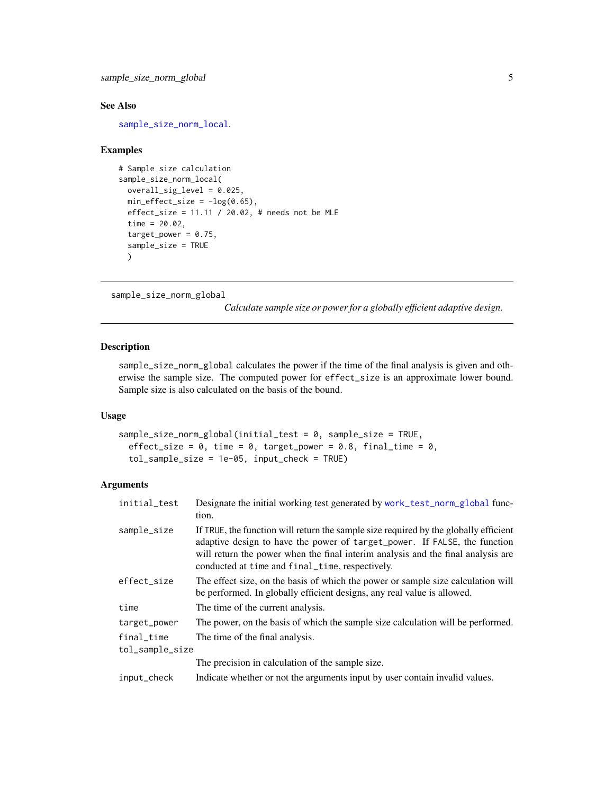<span id="page-4-0"></span>sample\_size\_norm\_global 5

#### See Also

[sample\\_size\\_norm\\_local](#page-5-1).

#### Examples

```
# Sample size calculation
sample_size_norm_local(
 overall_sig_level = 0.025,
 min\_effect\_size = -log(0.65),
 effect_size = 11.11 / 20.02, # needs not be MLE
 time = 20.02,
 target\_power = 0.75,
 sample_size = TRUE
 \lambda
```

```
sample_size_norm_global
```
*Calculate sample size or power for a globally efficient adaptive design.*

#### Description

sample\_size\_norm\_global calculates the power if the time of the final analysis is given and otherwise the sample size. The computed power for effect\_size is an approximate lower bound. Sample size is also calculated on the basis of the bound.

#### Usage

```
sample_size_norm_global(initial_test = 0, sample_size = TRUE,
 effect_size = 0, time = 0, target_power = 0.8, final_time = 0,
  tol_sample_size = 1e-05, input_check = TRUE)
```
#### Arguments

| initial_test    | Designate the initial working test generated by work_test_norm_global func-<br>tion.                                                                                                                                                                                                                     |
|-----------------|----------------------------------------------------------------------------------------------------------------------------------------------------------------------------------------------------------------------------------------------------------------------------------------------------------|
| sample_size     | If TRUE, the function will return the sample size required by the globally efficient<br>adaptive design to have the power of target_power. If FALSE, the function<br>will return the power when the final interim analysis and the final analysis are<br>conducted at time and final_time, respectively. |
| effect_size     | The effect size, on the basis of which the power or sample size calculation will<br>be performed. In globally efficient designs, any real value is allowed.                                                                                                                                              |
| time            | The time of the current analysis.                                                                                                                                                                                                                                                                        |
| target_power    | The power, on the basis of which the sample size calculation will be performed.                                                                                                                                                                                                                          |
| final_time      | The time of the final analysis.                                                                                                                                                                                                                                                                          |
| tol_sample_size |                                                                                                                                                                                                                                                                                                          |
|                 | The precision in calculation of the sample size.                                                                                                                                                                                                                                                         |
| input_check     | Indicate whether or not the arguments input by user contain invalid values.                                                                                                                                                                                                                              |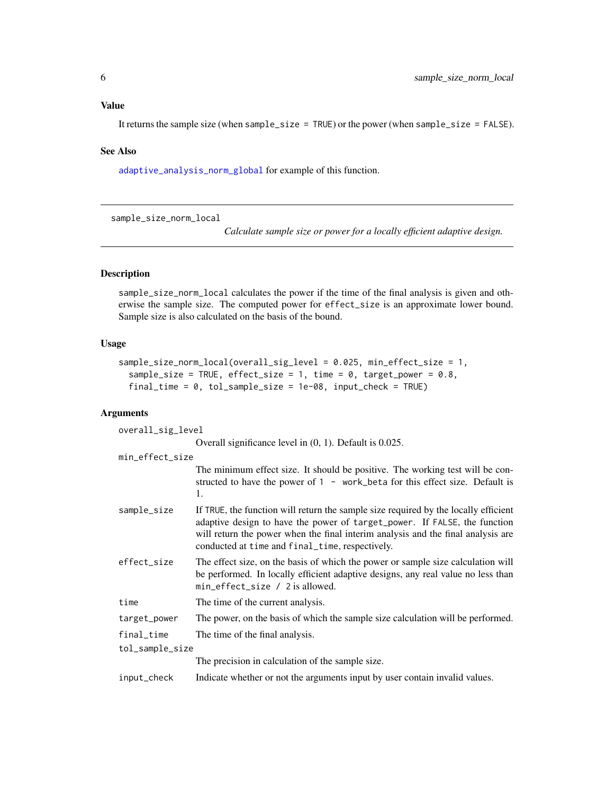#### <span id="page-5-0"></span>Value

It returns the sample size (when sample\_size = TRUE) or the power (when sample\_size = FALSE).

#### See Also

[adaptive\\_analysis\\_norm\\_global](#page-1-1) for example of this function.

<span id="page-5-1"></span>sample\_size\_norm\_local

*Calculate sample size or power for a locally efficient adaptive design.*

#### Description

sample\_size\_norm\_local calculates the power if the time of the final analysis is given and otherwise the sample size. The computed power for effect\_size is an approximate lower bound. Sample size is also calculated on the basis of the bound.

#### Usage

```
sample_size_norm_local(overall_sig_level = 0.025, min_effect_size = 1,
 sample_size = TRUE, effect_size = 1, time = 0, target_power = 0.8,
 final_time = 0, tol_sample_size = 1e-08, input_check = TRUE)
```
#### Arguments

| overall_sig_level |                                                                                                                                                                                                                                                                                                         |  |
|-------------------|---------------------------------------------------------------------------------------------------------------------------------------------------------------------------------------------------------------------------------------------------------------------------------------------------------|--|
|                   | Overall significance level in $(0, 1)$ . Default is 0.025.                                                                                                                                                                                                                                              |  |
| min_effect_size   |                                                                                                                                                                                                                                                                                                         |  |
|                   | The minimum effect size. It should be positive. The working test will be con-<br>structed to have the power of $1 -$ work_beta for this effect size. Default is<br>1.                                                                                                                                   |  |
| sample_size       | If TRUE, the function will return the sample size required by the locally efficient<br>adaptive design to have the power of target_power. If FALSE, the function<br>will return the power when the final interim analysis and the final analysis are<br>conducted at time and final_time, respectively. |  |
| effect_size       | The effect size, on the basis of which the power or sample size calculation will<br>be performed. In locally efficient adaptive designs, any real value no less than<br>min_effect_size / 2 is allowed.                                                                                                 |  |
| time              | The time of the current analysis.                                                                                                                                                                                                                                                                       |  |
| target_power      | The power, on the basis of which the sample size calculation will be performed.                                                                                                                                                                                                                         |  |
| final_time        | The time of the final analysis.                                                                                                                                                                                                                                                                         |  |
| tol_sample_size   |                                                                                                                                                                                                                                                                                                         |  |
|                   | The precision in calculation of the sample size.                                                                                                                                                                                                                                                        |  |
| input_check       | Indicate whether or not the arguments input by user contain invalid values.                                                                                                                                                                                                                             |  |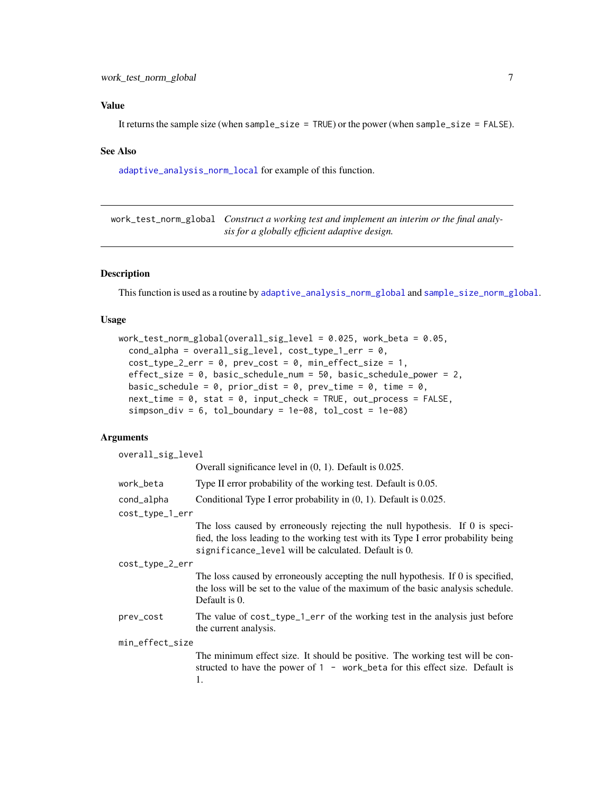#### <span id="page-6-0"></span>Value

It returns the sample size (when sample\_size = TRUE) or the power (when sample\_size = FALSE).

#### See Also

[adaptive\\_analysis\\_norm\\_local](#page-3-1) for example of this function.

<span id="page-6-1"></span>work\_test\_norm\_global *Construct a working test and implement an interim or the final analysis for a globally efficient adaptive design.*

#### Description

This function is used as a routine by [adaptive\\_analysis\\_norm\\_global](#page-1-1) and [sample\\_size\\_norm\\_global](#page-4-1).

#### Usage

```
work_test_norm_global(overall_sig_level = 0.025, work_beta = 0.05,
  cond_alpha = overall_sig\_level, cost_type_1_error = 0,cost_type_2_error = 0, prev\_cost = 0, min_effect_size = 1,
 effect_size = 0, basic_schedule_num = 50, basic_schedule_power = 2,
 basic_schedule = 0, prior_dist = 0, prev_time = 0, time = 0,
  next_time = 0, stat = 0, input_check = TRUE, out_process = FALSE,
  sim\_div = 6, tol\_boundary = 1e-08, tol\_cost = 1e-08
```
#### Arguments

| overall_sig_level |                                                                                                                                                                                                                            |  |
|-------------------|----------------------------------------------------------------------------------------------------------------------------------------------------------------------------------------------------------------------------|--|
|                   | Overall significance level in $(0, 1)$ . Default is 0.025.                                                                                                                                                                 |  |
| work_beta         | Type II error probability of the working test. Default is 0.05.                                                                                                                                                            |  |
| cond_alpha        | Conditional Type I error probability in (0, 1). Default is 0.025.                                                                                                                                                          |  |
| cost_type_1_err   |                                                                                                                                                                                                                            |  |
|                   | The loss caused by erroneously rejecting the null hypothesis. If 0 is speci-<br>fied, the loss leading to the working test with its Type I error probability being<br>significance_level will be calculated. Default is 0. |  |
| cost_type_2_err   |                                                                                                                                                                                                                            |  |
|                   | The loss caused by erroneously accepting the null hypothesis. If 0 is specified,<br>the loss will be set to the value of the maximum of the basic analysis schedule.<br>Default is 0.                                      |  |
| prev_cost         | The value of cost_type_1_err of the working test in the analysis just before<br>the current analysis.                                                                                                                      |  |
| min_effect_size   |                                                                                                                                                                                                                            |  |
|                   | The minimum effect size. It should be positive. The working test will be con-<br>structed to have the power of $1 - work$ beta for this effect size. Default is<br>1.                                                      |  |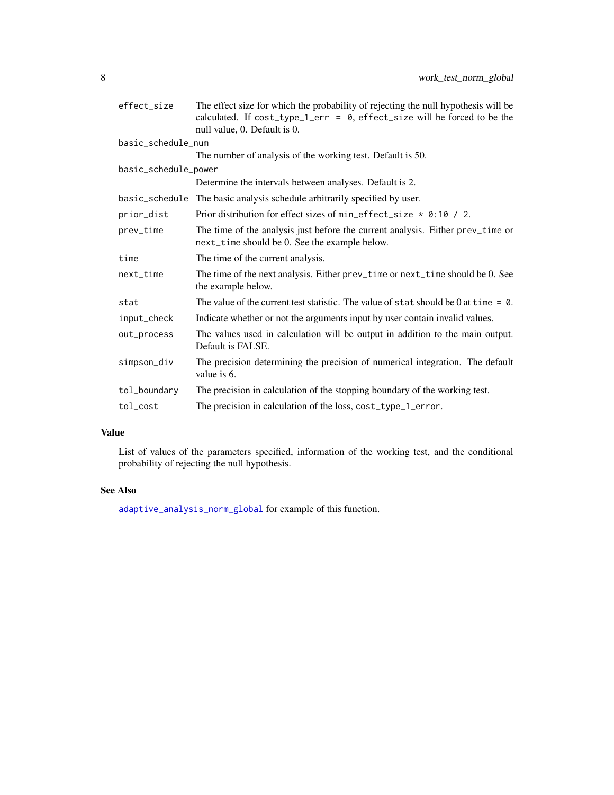<span id="page-7-0"></span>

| effect_size          | The effect size for which the probability of rejecting the null hypothesis will be<br>calculated. If $cost_type_1_error = 0$ , effect_size will be forced to be the<br>null value, 0. Default is 0. |
|----------------------|-----------------------------------------------------------------------------------------------------------------------------------------------------------------------------------------------------|
| basic_schedule_num   |                                                                                                                                                                                                     |
|                      | The number of analysis of the working test. Default is 50.                                                                                                                                          |
| basic_schedule_power |                                                                                                                                                                                                     |
|                      | Determine the intervals between analyses. Default is 2.                                                                                                                                             |
|                      | basic_schedule The basic analysis schedule arbitrarily specified by user.                                                                                                                           |
| prior_dist           | Prior distribution for effect sizes of $min_{\text{eff}}$ effect_size $*$ 0:10 / 2.                                                                                                                 |
| prev_time            | The time of the analysis just before the current analysis. Either prev_time or<br>next_time should be 0. See the example below.                                                                     |
| time                 | The time of the current analysis.                                                                                                                                                                   |
| $next_time$          | The time of the next analysis. Either prev_time or next_time should be 0. See<br>the example below.                                                                                                 |
| stat                 | The value of the current test statistic. The value of stat should be 0 at time $= 0$ .                                                                                                              |
| input_check          | Indicate whether or not the arguments input by user contain invalid values.                                                                                                                         |
| out_process          | The values used in calculation will be output in addition to the main output.<br>Default is FALSE.                                                                                                  |
| simpson_div          | The precision determining the precision of numerical integration. The default<br>value is 6.                                                                                                        |
| tol_boundary         | The precision in calculation of the stopping boundary of the working test.                                                                                                                          |
| tol_cost             | The precision in calculation of the loss, cost_type_1_error.                                                                                                                                        |

#### Value

List of values of the parameters specified, information of the working test, and the conditional probability of rejecting the null hypothesis.

#### See Also

[adaptive\\_analysis\\_norm\\_global](#page-1-1) for example of this function.